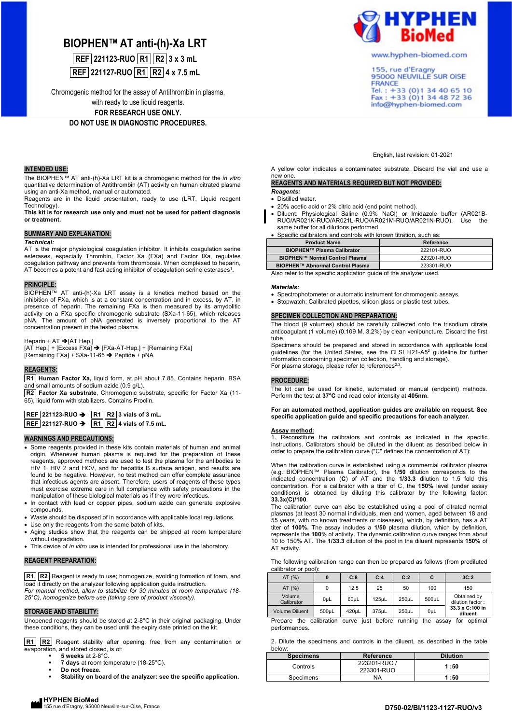# **BIOPHEN™ AT anti-(h)-Xa LRT**

**REF 221123-RUO R1 R2 3 x 3 mL REF 221127-RUO R1 R2 4 x 7.5 mL**

Chromogenic method for the assay of Antithrombin in plasma,

with ready to use liquid reagents.

**FOR RESEARCH USE ONLY. DO NOT USE IN DIAGNOSTIC PROCEDURES.**

# **INTENDED USE:**

The BIOPHEN™ AT anti-(h)-Xa LRT kit is a chromogenic method for the *in vitro* quantitative determination of Antithrombin (AT) activity on human citrated plasma using an anti-Xa method, manual or automated.

Reagents are in the liquid presentation, ready to use (LRT, Liquid reagent Technology).

**This kit is for research use only and must not be used for patient diagnosis or treatment.** 

## **SUMMARY AND EXPLANATION:**

#### *Technical:*

AT is the major physiological coagulation inhibitor. It inhibits coagulation serine esterases, especially Thrombin, Factor Xa (FXa) and Factor IXa, regulates coagulation pathway and prevents from thrombosis. When complexed to heparin, AT becomes a potent and fast acting inhibitor of coagulation serine esterases<sup>1</sup>.

#### **PRINCIPLE:**

BIOPHEN™ AT anti-(h)-Xa LRT assay is a kinetics method based on the inhibition of FXa, which is at a constant concentration and in excess, by AT, in presence of heparin. The remaining FXa is then measured by its amydolitic activity on a FXa specific chromogenic substrate (SXa-11-65), which releases pNA. The amount of pNA generated is inversely proportional to the AT concentration present in the tested plasma.

#### Heparin + AT → [AT Hep.]

[AT Hep.] + [Excess FXa] → [FXa-AT-Hep.] + [Remaining FXa] [Remaining FXa] + SXa-11-65 ➔ Peptide + pNA

#### **REAGENTS:**

**R1 Human Factor Xa,** liquid form, at pH about 7.85. Contains heparin, BSA small amounts of sodium azide (0.9 g/L).

**R2 Factor Xa substrate**, Chromogenic substrate, specific for Factor Xa (11- 65), liquid form with stabilizers. Contains Proclin.

| $REF$ 221123-RUO $\rightarrow$ | $\boxed{R1}$ $\boxed{R2}$ 3 vials of 3 mL. |
|--------------------------------|--------------------------------------------|
| <b>REF</b> 221127-RUO →        | R1 R2 4 vials of 7.5 mL.                   |

#### **WARNINGS AND PRECAUTIONS:**

- Some reagents provided in these kits contain materials of human and animal origin. Whenever human plasma is required for the preparation of these reagents, approved methods are used to test the plasma for the antibodies to HIV 1 HIV 2 and HCV and for hepatitis B surface antigen and results are 1, HIV 2 and HCV, and for hepatitis B surface antigen, and results are found to be negative. However, no test method can offer complete assurance that infectious agents are absent. Therefore, users of reagents of these types must exercise extreme care in full compliance with safety precautions in the manipulation of these biological materials as if they were infectious.
- In contact with lead or copper pipes, sodium azide can generate explosive compounds.
- Waste should be disposed of in accordance with applicable local regulations.
- Use only the reagents from the same batch of kits.
- Aging studies show that the reagents can be shipped at room temperature without degradation.
- This device of *in vitro* use is intended for professional use in the laboratory.

# **REAGENT PREPARATION:**

**R1 R2** Reagent is ready to use; homogenize, avoiding formation of foam, and load it directly on the analyzer following application guide instruction.

*For manual method, allow to stabilize for 30 minutes at room temperature (18- 25°C), homogenize before use (taking care of product viscosity).*

# **STORAGE AND STABILITY:**

Unopened reagents should be stored at 2-8°C in their original packaging. Under these conditions, they can be used until the expiry date printed on the kit.

**R1 R2** Reagent stability after opening, free from any contamination or evaporation, and stored closed, is of:

- **5 weeks** at 2-8°C.
- 7 days at room temperature (18-25°C).
- **Do not freeze.**
- Stability on board of the analyzer: see the specific application.



www.hyphen-biomed.com

155, rue d'Eragny<br>95000 NEUVILLE SUR OISE **FRANCE** Tel.: +33 (0) 1 34 40 65 10<br>Fax: +33 (0) 1 34 48 72 36 info@hyphen-biomed.com

English, last revision: 01-2021

A yellow color indicates a contaminated substrate. Discard the vial and use a new one.

# **REAGENTS AND MATERIALS REQUIRED BUT NOT PROVIDED:** *Reagents:*

• Distilled water.

- 20% acetic acid or 2% citric acid (end point method).
- Diluent: Physiological Saline (0.9% NaCl) or Imidazole buffer (AR021B-RUO/AR021K-RUO/AR021L-RUO/AR021M-RUO/AR021N-RUO). Use the same buffer for all dilutions performed.

|  |  | • Specific calibrators and controls with known titration, such as: |  |  |  |  |  |  |  |
|--|--|--------------------------------------------------------------------|--|--|--|--|--|--|--|
|--|--|--------------------------------------------------------------------|--|--|--|--|--|--|--|

| <b>Product Name</b>                     | Reference  |  |  |  |
|-----------------------------------------|------------|--|--|--|
| <b>BIOPHEN™ Plasma Calibrator</b>       | 222101-RUO |  |  |  |
| <b>BIOPHEN™ Normal Control Plasma</b>   | 223201-RUO |  |  |  |
| <b>BIOPHEN™ Abnormal Control Plasma</b> | 223301-RUO |  |  |  |
| . .<br>.<br>. .                         | .          |  |  |  |

Also refer to the specific application guide of the analyzer used.

#### *Materials:*

L

• Spectrophotometer or automatic instrument for chromogenic assays.

• Stopwatch; Calibrated pipettes, silicon glass or plastic test tubes.

## **SPECIMEN COLLECTION AND PREPARATION:**

The blood (9 volumes) should be carefully collected onto the trisodium citrate anticoagulant (1 volume) (0.109 M, 3.2%) by clean venipuncture. Discard the first tube.

Specimens should be prepared and stored in accordance with applicable local guidelines (for the United States, see the CLSI H21-A5<sup>2</sup> guideline for further information concerning specimen collection, handling and storage). For plasma storage, please refer to references<sup>2,3</sup>.

## **PROCEDURE:**

The kit can be used for kinetic, automated or manual (endpoint) methods. Perform the test at **37°C** and read color intensity at **405nm**.

#### **For an automated method, application guides are available on request. See specific application guide and specific precautions for each analyzer.**

# **Assay method:**

1. Reconstitute the calibrators and controls as indicated in the specific instructions. Calibrators should be diluted in the diluent as described below in order to prepare the calibration curve ("C" defines the concentration of AT):

When the calibration curve is established using a commercial calibrator plasma (e.g.: BIOPHEN™ Plasma Calibrator), the **1/50** dilution corresponds to the indicated concentration (**C**) of AT and the **1/33.3** dilution to 1.5 fold this concentration. For a calibrator with a titer of C, the **150%** level (under assay conditions) is obtained by diluting this calibrator by the following factor: **33.3x(C)/100**.

The calibration curve can also be established using a pool of citrated normal plasmas (at least 30 normal individuals, men and women, aged between 18 and 55 years, with no known treatments or diseases), which, by definition, has a AT titer of **100%.** The assay includes a **1/50** plasma dilution, which by definition, represents the **100%** of activity. The dynamic calibration curve ranges from about 10 to 150% AT. The **1/33.3** dilution of the pool in the diluent represents **150%** of AT activity.

| The following calibration range can then be prepared as follows (from prediluted |  |  |  |
|----------------------------------------------------------------------------------|--|--|--|
| calibrator or pool):                                                             |  |  |  |

| AT $(%)$                                                                                   | 0     | C:8   | C:4   | C:2   | С     | 3C:2                            |
|--------------------------------------------------------------------------------------------|-------|-------|-------|-------|-------|---------------------------------|
| AT $(%)$                                                                                   |       | 12.5  | 25    | 50    | 100   | 150                             |
| Volume<br>Calibrator                                                                       | 0uL   | 60uL  | 125uL | 250uL | 500uL | Obtained by<br>dilution factor: |
| <b>Volume Diluent</b>                                                                      | 500uL | 420uL | 375uL | 250uL | OuL   | 33.3 x C:100 in<br>diluent      |
| $inot$ hoforo<br>running the<br>Dronaro the colibration<br>for optimal<br>$\sim$<br>0.0001 |       |       |       |       |       |                                 |

calibration curve just before running the assay for optimal performances.

2. Dilute the specimens and controls in the diluent, as described in the table below:

| <b>Specimens</b> | Reference    | <b>Dilution</b> |
|------------------|--------------|-----------------|
| Controls         | 223201-RUO / | 1:50            |
|                  | 223301-RUO   |                 |
| Specimens        | NA           | 1:50            |